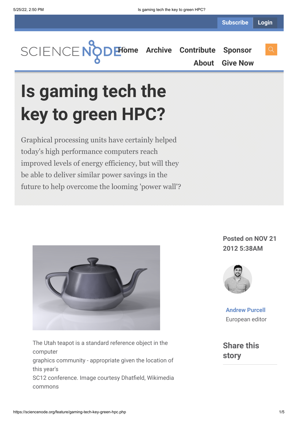**[Home](https://sciencenode.org/) [Archive](https://sciencenode.org/archive/index.php) [Contribute](https://sciencenode.org/contribute/index.php) [Sponsor](https://sciencenode.org/sponsor/index.php)**

**[About](https://sciencenode.org/about/index.php) [Give Now](https://sciencenode.org/donate/index.php)**

# **Is gaming tech the key to green HPC?**

Graphical processing units have certainly helped today's high performance computers reach improved levels of energy efficiency, but will they be able to deliver similar power savings in the future to help overcome the looming 'power wall'?



The Utah teapot is a standard reference object in the computer graphics community - appropriate given the location of this year's SC12 conference. Image courtesy Dhatfield, Wikimedia commons

### **Posted on NOV 21 2012 5:38AM**



**[Andrew Purcell](https://sciencenode.org/author/andrew-purcell.php)** European editor

**Share this story**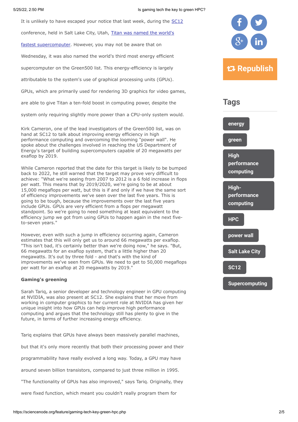It is unlikely to have escaped your notice that last week, during the [SC12](http://sc12.supercomputing.org/)

conference, held in Salt Lake City, Utah, Titan was named the world's

[fastest supercomputer. However, you may not be aware that on](http://www.top500.org/)

Wednesday, it was also named the world's third most energy efficient

supercomputer on the Green500 list. This energy-efficiency is largely

attributable to the system's use of graphical processing units (GPUs).

GPUs, which are primarily used for rendering 3D graphics for video games,

are able to give Titan a ten-fold boost in computing power, despite the

system only requiring slightly more power than a CPU-only system would.

Kirk Cameron, one of the lead investigators of the Green500 list, was on hand at SC12 to talk about improving energy efficiency in high performance computing and overcoming the looming "power wall". He spoke about the challenges involved in reaching the US Department of Energy's target of building supercomputers capable of 20 megawatts per exaflop by 2019.

While Cameron reported that the date for this target is likely to be bumped back to 2022, he still warned that the target may prove very difficult to achieve: "What we're seeing from 2007 to 2012 is a 6 fold increase in flops per watt. This means that by 2019/2020, we're going to be at about 15,000 megaflops per watt, but this is if and only if we have the same sort of efficiency improvements we've seen over the last five years. This is going to be tough, because the improvements over the last five years include GPUs. GPUs are very efficient from a flops per megawatt standpoint. So we're going to need something at least equivalent to the efficiency jump we got from using GPUs to happen again in the next fiveto-seven years."

However, even with such a jump in efficiency occurring again, Cameron estimates that this will only get us to around 66 megawatts per exaflop. "This isn't bad, it's certainly better than we're doing now," he says. "But, 66 megawatts for an exaflop system, that's a little higher than 20 megawatts. It's out by three fold - and that's with the kind of improvements we've seen from GPUs. We need to get to 50,000 megaflops per watt for an exaflop at 20 megawatts by 2019."

#### **Gaming's greening**

Sarah Tariq, a senior developer and technology engineer in GPU computing at NVIDIA, was also present at SC12. She explains that her move from working in computer graphics to her current role at NVIDIA has given her unique insight into how GPUs can help improve high performance computing and argues that the technology still has plenty to give in the future, in terms of further increasing energy efficiency.

Tariq explains that GPUs have always been massively parallel machines,

but that it's only more recently that both their processing power and their

programmability have really evolved a long way. Today, a GPU may have

around seven billion transistors, compared to just three million in 1995.

"The functionality of GPUs has also improved," says Tariq. Originally, they

were fixed function, which meant you couldn't really program them for





**[Supercomputing](https://sciencenode.org/tag/?tag=Supercomputing)**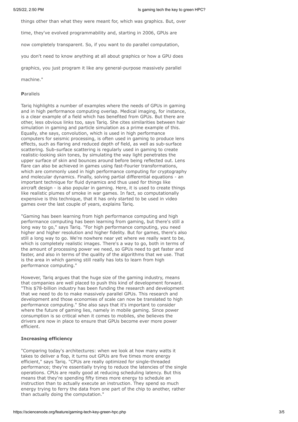things other than what they were meant for, which was graphics. But, over

time, they've evolved programmability and, starting in 2006, GPUs are

now completely transparent. So, if you want to do parallel computation,

you don't need to know anything at all about graphics or how a GPU does

graphics, you just program it like any general-purpose massively parallel

machine."

#### **P**arallels

Tariq highlights a number of examples where the needs of GPUs in gaming and in high performance computing overlap. Medical imaging, for instance, is a clear example of a field which has benefited from GPUs. But there are other, less obvious links too, says Tariq. She cites similarities between hair simulation in gaming and particle simulation as a prime example of this. Equally, she says, convolution, which is used in high performance computers for seismic processing, is often used in gaming to produce lens effects, such as flaring and reduced depth of field, as well as sub-surface scattering. Sub-surface scattering is regularly used in gaming to create realistic-looking skin tones, by simulating the way light penetrates the upper surface of skin and bounces around before being reflected out. Lens flare can also be achieved in games using fast-Fourier transformations, which are commonly used in high performance computing for cryptography and molecular dynamics. Finally, solving partial differential equations - an important technique for fluid dynamics and thus used for things like aircraft design - is also popular in gaming. Here, it is used to create things like realistic plumes of smoke in war games. In fact, so computationally expensive is this technique, that it has only started to be used in video games over the last couple of years, explains Tariq.

"Gaming has been learning from high performance computing and high performance computing has been learning from gaming, but there's still a long way to go," says Tariq. "For high performance computing, you need higher and higher resolution and higher fidelity. But for games, there's also still a long way to go. We're nowhere near yet where we really want to be, which is completely realistic images. There's a way to go, both in terms of the amount of processing power we need, so GPUs need to get faster and faster, and also in terms of the quality of the algorithms that we use. That is the area in which gaming still really has lots to learn from high performance computing."

However, Tariq argues that the huge size of the gaming industry, means that companies are well placed to push this kind of development forward. "This \$78-billion industry has been funding the research and development that we need to do to make massively parallel GPUs. This research and development and those economies of scale can now be translated to high performance computing." She also says that it's important to consider where the future of gaming lies, namely in mobile gaming. Since power consumption is so critical when it comes to mobiles, she believes the drivers are now in place to ensure that GPUs become ever more power efficient.

#### **Increasing efficiency**

"Comparing today's architectures: when we look at how many watts it takes to deliver a flop, it turns out GPUs are five times more energy efficient," says Tariq. "CPUs are really optimized for single-threaded performance; they're essentially trying to reduce the latencies of the single operations. CPUs are really good at reducing scheduling latency. But this means that they're spending fifty times more energy to schedule an instruction than to actually execute an instruction. They spend so much energy trying to ferry the data from one part of the chip to another, rather than actually doing the computation."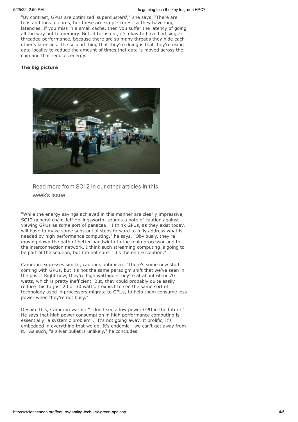"By contrast, GPUs are optimized 'superclusters'," she says. "There are tons and tons of cores, but these are simple cores, so they have long latencies. If you miss in a small cache, then you suffer the latency of going all the way out to memory. But, it turns out, it's okay to have bad singlethreaded performance, because there are so many threads they hide each other's latencies. The second thing that they're doing is that they're using data locality to reduce the amount of times that data is moved across the chip and that reduces energy."

#### **The big picture**



#### Read more from SC12 in our other articles in this week's issue.

"While the energy savings achieved in this manner are clearly impressive, SC12 general chair, Jeff Hollingsworth, sounds a note of caution against viewing GPUs as some sort of panacea: "I think GPUs, as they exist today, will have to make some substantial steps forward to fully address what is needed by high performance computing," he says. "Obviously, they're moving down the path of better bandwidth to the main processor and to the interconnection network. I think such streaming computing is going to be part of the solution, but I'm not sure if it's the entire solution."

Cameron expresses similar, cautious optimism: "There's some new stuff coming with GPUs, but it's not the same paradigm shift that we've seen in the past." Right now, they're high wattage - they're at about 60 or 70 watts, which is pretty inefficient. But, they could probably quite easily reduce this to just 20 or 30 watts. I expect to see the same sort of technology used in processors migrate to GPUs, to help them consume less power when they're not busy."

Despite this, Cameron warns: "I don't see a low power GPU in the future." He says that high power consumption in high performance computing is essentially "a systemic problem". "It's not going away. It prolific, it's embedded in everything that we do. It's endemic - we can't get away from it." As such, "a silver bullet is unlikely," he concludes.